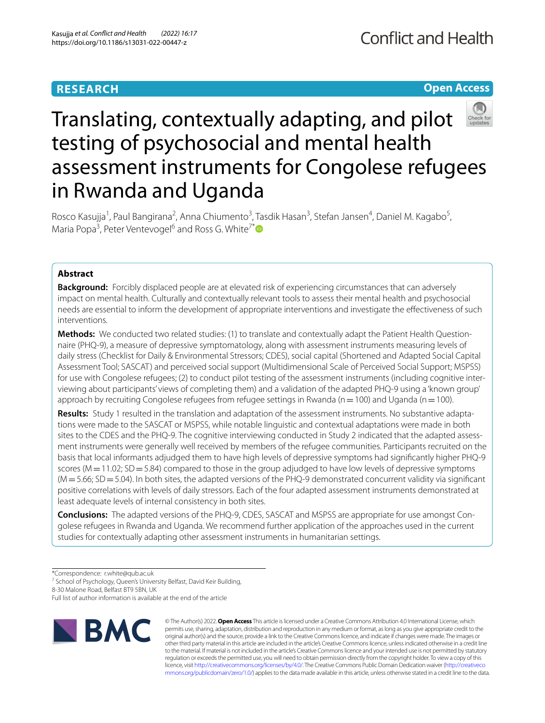# **RESEARCH**

# **Open Access**



# Translating, contextually adapting, and pilot testing of psychosocial and mental health assessment instruments for Congolese refugees in Rwanda and Uganda

Rosco Kasujja<sup>1</sup>, Paul Bangirana<sup>2</sup>, Anna Chiumento<sup>3</sup>, Tasdik Hasan<sup>3</sup>, Stefan Jansen<sup>4</sup>, Daniel M. Kagabo<sup>5</sup>, Maria Popa<sup>3</sup>, Peter Ventevogel<sup>6</sup> and Ross G. White<sup>7[\\*](http://orcid.org/0000-0003-4026-6439)</sup>

## **Abstract**

**Background:** Forcibly displaced people are at elevated risk of experiencing circumstances that can adversely impact on mental health. Culturally and contextually relevant tools to assess their mental health and psychosocial needs are essential to inform the development of appropriate interventions and investigate the efectiveness of such interventions.

**Methods:** We conducted two related studies: (1) to translate and contextually adapt the Patient Health Questionnaire (PHQ-9), a measure of depressive symptomatology, along with assessment instruments measuring levels of daily stress (Checklist for Daily & Environmental Stressors; CDES), social capital (Shortened and Adapted Social Capital Assessment Tool; SASCAT) and perceived social support (Multidimensional Scale of Perceived Social Support; MSPSS) for use with Congolese refugees; (2) to conduct pilot testing of the assessment instruments (including cognitive interviewing about participants' views of completing them) and a validation of the adapted PHQ-9 using a 'known group' approach by recruiting Congolese refugees from refugee settings in Rwanda ( $n=100$ ) and Uganda ( $n=100$ ).

**Results:** Study 1 resulted in the translation and adaptation of the assessment instruments. No substantive adaptations were made to the SASCAT or MSPSS, while notable linguistic and contextual adaptations were made in both sites to the CDES and the PHQ-9. The cognitive interviewing conducted in Study 2 indicated that the adapted assessment instruments were generally well received by members of the refugee communities. Participants recruited on the basis that local informants adjudged them to have high levels of depressive symptoms had signifcantly higher PHQ-9 scores (M = 11.02; SD = 5.84) compared to those in the group adjudged to have low levels of depressive symptoms  $(M=5.66; SD=5.04)$ . In both sites, the adapted versions of the PHQ-9 demonstrated concurrent validity via significant positive correlations with levels of daily stressors. Each of the four adapted assessment instruments demonstrated at least adequate levels of internal consistency in both sites.

**Conclusions:** The adapted versions of the PHQ-9, CDES, SASCAT and MSPSS are appropriate for use amongst Congolese refugees in Rwanda and Uganda. We recommend further application of the approaches used in the current studies for contextually adapting other assessment instruments in humanitarian settings.

\*Correspondence: r.white@qub.ac.uk

<sup>7</sup> School of Psychology, Queen's University Belfast, David Keir Building,

8-30 Malone Road, Belfast BT9 5BN, UK

Full list of author information is available at the end of the article



© The Author(s) 2022. **Open Access** This article is licensed under a Creative Commons Attribution 4.0 International License, which permits use, sharing, adaptation, distribution and reproduction in any medium or format, as long as you give appropriate credit to the original author(s) and the source, provide a link to the Creative Commons licence, and indicate if changes were made. The images or other third party material in this article are included in the article's Creative Commons licence, unless indicated otherwise in a credit line to the material. If material is not included in the article's Creative Commons licence and your intended use is not permitted by statutory regulation or exceeds the permitted use, you will need to obtain permission directly from the copyright holder. To view a copy of this licence, visit [http://creativecommons.org/licenses/by/4.0/.](http://creativecommons.org/licenses/by/4.0/) The Creative Commons Public Domain Dedication waiver ([http://creativeco](http://creativecommons.org/publicdomain/zero/1.0/) [mmons.org/publicdomain/zero/1.0/](http://creativecommons.org/publicdomain/zero/1.0/)) applies to the data made available in this article, unless otherwise stated in a credit line to the data.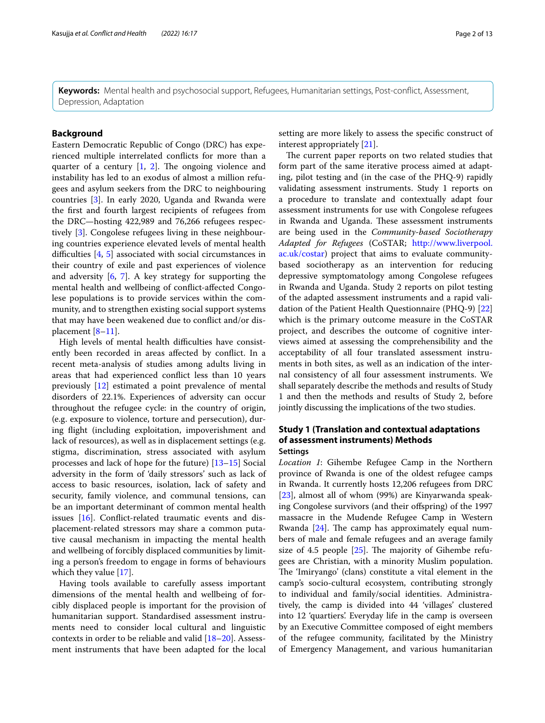**Keywords:** Mental health and psychosocial support, Refugees, Humanitarian settings, Post-confict, Assessment, Depression, Adaptation

## **Background**

Eastern Democratic Republic of Congo (DRC) has experienced multiple interrelated conficts for more than a quarter of a century  $[1, 2]$  $[1, 2]$  $[1, 2]$  $[1, 2]$ . The ongoing violence and instability has led to an exodus of almost a million refugees and asylum seekers from the DRC to neighbouring countries [\[3](#page-11-2)]. In early 2020, Uganda and Rwanda were the frst and fourth largest recipients of refugees from the DRC—hosting 422,989 and 76,266 refugees respectively [\[3](#page-11-2)]. Congolese refugees living in these neighbouring countries experience elevated levels of mental health difficulties  $[4, 5]$  $[4, 5]$  $[4, 5]$  $[4, 5]$  $[4, 5]$  associated with social circumstances in their country of exile and past experiences of violence and adversity [\[6](#page-11-5), [7\]](#page-11-6). A key strategy for supporting the mental health and wellbeing of confict-afected Congolese populations is to provide services within the community, and to strengthen existing social support systems that may have been weakened due to confict and/or displacement [[8](#page-11-7)[–11](#page-11-8)].

High levels of mental health difficulties have consistently been recorded in areas afected by confict. In a recent meta-analysis of studies among adults living in areas that had experienced confict less than 10 years previously [\[12](#page-11-9)] estimated a point prevalence of mental disorders of 22.1%. Experiences of adversity can occur throughout the refugee cycle: in the country of origin, (e.g. exposure to violence, torture and persecution), during fight (including exploitation, impoverishment and lack of resources), as well as in displacement settings (e.g. stigma, discrimination, stress associated with asylum processes and lack of hope for the future) [\[13](#page-11-10)[–15\]](#page-11-11) Social adversity in the form of 'daily stressors' such as lack of access to basic resources, isolation, lack of safety and security, family violence, and communal tensions, can be an important determinant of common mental health issues [[16\]](#page-11-12). Confict-related traumatic events and displacement-related stressors may share a common putative causal mechanism in impacting the mental health and wellbeing of forcibly displaced communities by limiting a person's freedom to engage in forms of behaviours which they value [[17\]](#page-11-13).

Having tools available to carefully assess important dimensions of the mental health and wellbeing of forcibly displaced people is important for the provision of humanitarian support. Standardised assessment instruments need to consider local cultural and linguistic contexts in order to be reliable and valid [[18](#page-11-14)[–20](#page-11-15)]. Assessment instruments that have been adapted for the local

setting are more likely to assess the specifc construct of interest appropriately [[21\]](#page-11-16).

The current paper reports on two related studies that form part of the same iterative process aimed at adapting, pilot testing and (in the case of the PHQ-9) rapidly validating assessment instruments. Study 1 reports on a procedure to translate and contextually adapt four assessment instruments for use with Congolese refugees in Rwanda and Uganda. These assessment instruments are being used in the *Community-based Sociotherapy Adapted for Refugees* (CoSTAR; [http://www.liverpool.](http://www.liverpool.ac.uk/costar) [ac.uk/costar\)](http://www.liverpool.ac.uk/costar) project that aims to evaluate communitybased sociotherapy as an intervention for reducing depressive symptomatology among Congolese refugees in Rwanda and Uganda. Study 2 reports on pilot testing of the adapted assessment instruments and a rapid validation of the Patient Health Questionnaire (PHQ-9) [[22](#page-11-17)] which is the primary outcome measure in the CoSTAR project, and describes the outcome of cognitive interviews aimed at assessing the comprehensibility and the acceptability of all four translated assessment instruments in both sites, as well as an indication of the internal consistency of all four assessment instruments. We shall separately describe the methods and results of Study 1 and then the methods and results of Study 2, before jointly discussing the implications of the two studies.

## **Study 1 (Translation and contextual adaptations of assessment instruments) Methods Settings**

*Location 1*: Gihembe Refugee Camp in the Northern province of Rwanda is one of the oldest refugee camps in Rwanda. It currently hosts 12,206 refugees from DRC [[23\]](#page-11-18), almost all of whom (99%) are Kinyarwanda speaking Congolese survivors (and their ofspring) of the 1997 massacre in the Mudende Refugee Camp in Western Rwanda  $[24]$  $[24]$  $[24]$ . The camp has approximately equal numbers of male and female refugees and an average family size of 4.5 people  $[25]$ . The majority of Gihembe refugees are Christian, with a minority Muslim population. The 'Imiryango' (clans) constitute a vital element in the camp's socio-cultural ecosystem, contributing strongly to individual and family/social identities. Administratively, the camp is divided into 44 'villages' clustered into 12 'quartiers'. Everyday life in the camp is overseen by an Executive Committee composed of eight members of the refugee community, facilitated by the Ministry of Emergency Management, and various humanitarian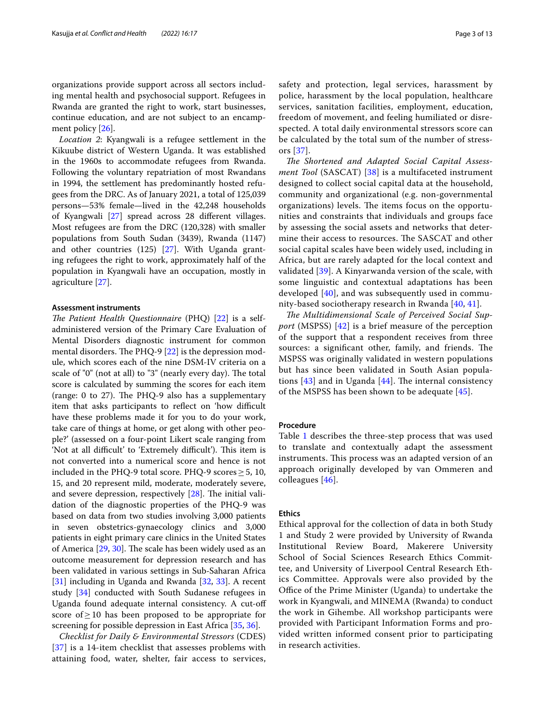organizations provide support across all sectors including mental health and psychosocial support. Refugees in Rwanda are granted the right to work, start businesses, continue education, and are not subject to an encampment policy [[26\]](#page-11-21).

*Location 2*: Kyangwali is a refugee settlement in the Kikuube district of Western Uganda. It was established in the 1960s to accommodate refugees from Rwanda. Following the voluntary repatriation of most Rwandans in 1994, the settlement has predominantly hosted refugees from the DRC. As of January 2021, a total of 125,039 persons—53% female—lived in the 42,248 households of Kyangwali [[27\]](#page-11-22) spread across 28 diferent villages. Most refugees are from the DRC (120,328) with smaller populations from South Sudan (3439), Rwanda (1147) and other countries (125) [\[27](#page-11-22)]. With Uganda granting refugees the right to work, approximately half of the population in Kyangwali have an occupation, mostly in agriculture [[27\]](#page-11-22).

#### **Assessment instruments**

*The Patient Health Questionnaire* (PHQ) [[22\]](#page-11-17) is a selfadministered version of the Primary Care Evaluation of Mental Disorders diagnostic instrument for common mental disorders. The PHQ-9  $[22]$  $[22]$  is the depression module, which scores each of the nine DSM-IV criteria on a scale of "0" (not at all) to "3" (nearly every day). The total score is calculated by summing the scores for each item (range:  $0$  to  $27$ ). The PHQ-9 also has a supplementary item that asks participants to reflect on 'how difficult have these problems made it for you to do your work, take care of things at home, or get along with other people?' (assessed on a four-point Likert scale ranging from 'Not at all difficult' to 'Extremely difficult'). This item is not converted into a numerical score and hence is not included in the PHQ-9 total score. PHQ-9 scores≥5, 10, 15, and 20 represent mild, moderate, moderately severe, and severe depression, respectively  $[28]$  $[28]$  $[28]$ . The initial validation of the diagnostic properties of the PHQ-9 was based on data from two studies involving 3,000 patients in seven obstetrics-gynaecology clinics and 3,000 patients in eight primary care clinics in the United States of America  $[29, 30]$  $[29, 30]$  $[29, 30]$  $[29, 30]$ . The scale has been widely used as an outcome measurement for depression research and has been validated in various settings in Sub-Saharan Africa [[31\]](#page-11-26) including in Uganda and Rwanda [\[32,](#page-11-27) [33](#page-11-28)]. A recent study [\[34](#page-11-29)] conducted with South Sudanese refugees in Uganda found adequate internal consistency. A cut-of score of $\geq$ 10 has been proposed to be appropriate for screening for possible depression in East Africa [\[35,](#page-12-0) [36](#page-12-1)].

*Checklist for Daily & Environmental Stressors* (CDES) [[37](#page-12-2)] is a 14-item checklist that assesses problems with attaining food, water, shelter, fair access to services, safety and protection, legal services, harassment by police, harassment by the local population, healthcare services, sanitation facilities, employment, education, freedom of movement, and feeling humiliated or disrespected. A total daily environmental stressors score can be calculated by the total sum of the number of stressors [[37\]](#page-12-2).

The Shortened and Adapted Social Capital Assess*ment Tool* (SASCAT) [\[38\]](#page-12-3) is a multifaceted instrument designed to collect social capital data at the household, community and organizational (e.g. non-governmental organizations) levels. The items focus on the opportunities and constraints that individuals and groups face by assessing the social assets and networks that determine their access to resources. The SASCAT and other social capital scales have been widely used, including in Africa, but are rarely adapted for the local context and validated [[39\]](#page-12-4). A Kinyarwanda version of the scale, with some linguistic and contextual adaptations has been developed  $[40]$  $[40]$ , and was subsequently used in community-based sociotherapy research in Rwanda [[40](#page-12-5), [41](#page-12-6)].

The Multidimensional Scale of Perceived Social Sup*port* (MSPSS) [\[42](#page-12-7)] is a brief measure of the perception of the support that a respondent receives from three sources: a significant other, family, and friends. The MSPSS was originally validated in western populations but has since been validated in South Asian populations  $[43]$  $[43]$  $[43]$  and in Uganda  $[44]$  $[44]$ . The internal consistency of the MSPSS has been shown to be adequate [[45](#page-12-10)].

#### **Procedure**

Table [1](#page-3-0) describes the three-step process that was used to translate and contextually adapt the assessment instruments. This process was an adapted version of an approach originally developed by van Ommeren and colleagues [[46](#page-12-11)].

## **Ethics**

Ethical approval for the collection of data in both Study 1 and Study 2 were provided by University of Rwanda Institutional Review Board, Makerere University School of Social Sciences Research Ethics Committee, and University of Liverpool Central Research Ethics Committee. Approvals were also provided by the Office of the Prime Minister (Uganda) to undertake the work in Kyangwali, and MINEMA (Rwanda) to conduct the work in Gihembe. All workshop participants were provided with Participant Information Forms and provided written informed consent prior to participating in research activities.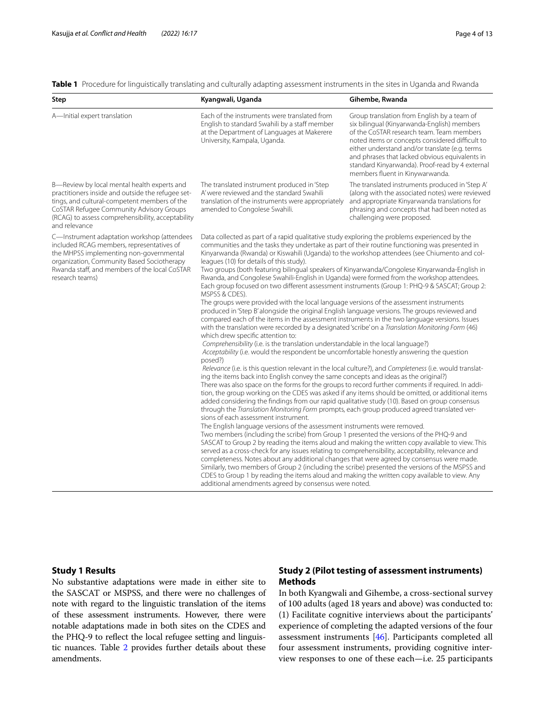<span id="page-3-0"></span>**Table 1** Procedure for linguistically translating and culturally adapting assessment instruments in the sites in Uganda and Rwanda

| Step                                                                                                                                                                                                                                                               | Kyangwali, Uganda                                                                                                                                                                                                                                                                                                                                                                                                                                                                                                                                                                                                                                                                                                                                                                                                                                                                                                                                                                                                                                                                                                                                                                                                                                                                                                                                                                                                                                                                                                                                                                                                                                                                                                                                                                                                                                                                                                                                                                                                                                                                                                                                                                                                                                                                                                                                                                                                                                                                                                                                                                                                                                                                                     | Gihembe, Rwanda                                                                                                                                                                                                                                                                                                                                                                      |
|--------------------------------------------------------------------------------------------------------------------------------------------------------------------------------------------------------------------------------------------------------------------|-------------------------------------------------------------------------------------------------------------------------------------------------------------------------------------------------------------------------------------------------------------------------------------------------------------------------------------------------------------------------------------------------------------------------------------------------------------------------------------------------------------------------------------------------------------------------------------------------------------------------------------------------------------------------------------------------------------------------------------------------------------------------------------------------------------------------------------------------------------------------------------------------------------------------------------------------------------------------------------------------------------------------------------------------------------------------------------------------------------------------------------------------------------------------------------------------------------------------------------------------------------------------------------------------------------------------------------------------------------------------------------------------------------------------------------------------------------------------------------------------------------------------------------------------------------------------------------------------------------------------------------------------------------------------------------------------------------------------------------------------------------------------------------------------------------------------------------------------------------------------------------------------------------------------------------------------------------------------------------------------------------------------------------------------------------------------------------------------------------------------------------------------------------------------------------------------------------------------------------------------------------------------------------------------------------------------------------------------------------------------------------------------------------------------------------------------------------------------------------------------------------------------------------------------------------------------------------------------------------------------------------------------------------------------------------------------------|--------------------------------------------------------------------------------------------------------------------------------------------------------------------------------------------------------------------------------------------------------------------------------------------------------------------------------------------------------------------------------------|
| A-Initial expert translation                                                                                                                                                                                                                                       | Each of the instruments were translated from<br>English to standard Swahili by a staff member<br>at the Department of Languages at Makerere<br>University, Kampala, Uganda.                                                                                                                                                                                                                                                                                                                                                                                                                                                                                                                                                                                                                                                                                                                                                                                                                                                                                                                                                                                                                                                                                                                                                                                                                                                                                                                                                                                                                                                                                                                                                                                                                                                                                                                                                                                                                                                                                                                                                                                                                                                                                                                                                                                                                                                                                                                                                                                                                                                                                                                           | Group translation from English by a team of<br>six bilingual (Kinyarwanda-English) members<br>of the CoSTAR research team. Team members<br>noted items or concepts considered difficult to<br>either understand and/or translate (e.g. terms<br>and phrases that lacked obvious equivalents in<br>standard Kinyarwanda). Proof-read by 4 external<br>members fluent in Kinywarwanda. |
| B-Review by local mental health experts and<br>practitioners inside and outside the refugee set-<br>tings, and cultural-competent members of the<br>CoSTAR Refugee Community Advisory Groups<br>(RCAG) to assess comprehensibility, acceptability<br>and relevance | The translated instrument produced in 'Step<br>A' were reviewed and the standard Swahili<br>translation of the instruments were appropriately<br>amended to Congolese Swahili.                                                                                                                                                                                                                                                                                                                                                                                                                                                                                                                                                                                                                                                                                                                                                                                                                                                                                                                                                                                                                                                                                                                                                                                                                                                                                                                                                                                                                                                                                                                                                                                                                                                                                                                                                                                                                                                                                                                                                                                                                                                                                                                                                                                                                                                                                                                                                                                                                                                                                                                        | The translated instruments produced in 'Step A'<br>(along with the associated notes) were reviewed<br>and appropriate Kinyarwanda translations for<br>phrasing and concepts that had been noted as<br>challenging were proposed.                                                                                                                                                     |
| C-Instrument adaptation workshop (attendees<br>included RCAG members, representatives of<br>the MHPSS implementing non-governmental<br>organization, Community Based Sociotherapy<br>Rwanda staff, and members of the local CoSTAR<br>research teams)              | Data collected as part of a rapid qualitative study exploring the problems experienced by the<br>communities and the tasks they undertake as part of their routine functioning was presented in<br>Kinyarwanda (Rwanda) or Kiswahili (Uganda) to the workshop attendees (see Chiumento and col-<br>leagues (10) for details of this study).<br>Two groups (both featuring bilingual speakers of Kinyarwanda/Congolese Kinyarwanda-English in<br>Rwanda, and Congolese Swahili-English in Uganda) were formed from the workshop attendees.<br>Each group focused on two different assessment instruments (Group 1: PHQ-9 & SASCAT; Group 2:<br>MSPSS & CDES).<br>The groups were provided with the local language versions of the assessment instruments<br>produced in 'Step B' alongside the original English language versions. The groups reviewed and<br>compared each of the items in the assessment instruments in the two language versions. Issues<br>with the translation were recorded by a designated 'scribe' on a Translation Monitoring Form (46)<br>which drew specific attention to:<br>Comprehensibility (i.e. is the translation understandable in the local language?)<br>Acceptability (i.e. would the respondent be uncomfortable honestly answering the question<br>posed?)<br>Relevance (i.e. is this question relevant in the local culture?), and Completeness (i.e. would translat-<br>ing the items back into English convey the same concepts and ideas as the original?)<br>There was also space on the forms for the groups to record further comments if required. In addi-<br>tion, the group working on the CDES was asked if any items should be omitted, or additional items<br>added considering the findings from our rapid qualitative study (10). Based on group consensus<br>through the Translation Monitoring Form prompts, each group produced agreed translated ver-<br>sions of each assessment instrument.<br>The English language versions of the assessment instruments were removed.<br>Two members (including the scribe) from Group 1 presented the versions of the PHQ-9 and<br>SASCAT to Group 2 by reading the items aloud and making the written copy available to view. This<br>served as a cross-check for any issues relating to comprehensibility, acceptability, relevance and<br>completeness. Notes about any additional changes that were agreed by consensus were made.<br>Similarly, two members of Group 2 (including the scribe) presented the versions of the MSPSS and<br>CDES to Group 1 by reading the items aloud and making the written copy available to view. Any<br>additional amendments agreed by consensus were noted. |                                                                                                                                                                                                                                                                                                                                                                                      |

### **Study 1 Results**

No substantive adaptations were made in either site to the SASCAT or MSPSS, and there were no challenges of note with regard to the linguistic translation of the items of these assessment instruments. However, there were notable adaptations made in both sites on the CDES and the PHQ-9 to reflect the local refugee setting and linguis-tic nuances. Table [2](#page-4-0) provides further details about these amendments.

## **Study 2 (Pilot testing of assessment instruments) Methods**

In both Kyangwali and Gihembe, a cross-sectional survey of 100 adults (aged 18 years and above) was conducted to: (1) Facilitate cognitive interviews about the participants' experience of completing the adapted versions of the four assessment instruments [\[46](#page-12-11)]. Participants completed all four assessment instruments, providing cognitive interview responses to one of these each—i.e. 25 participants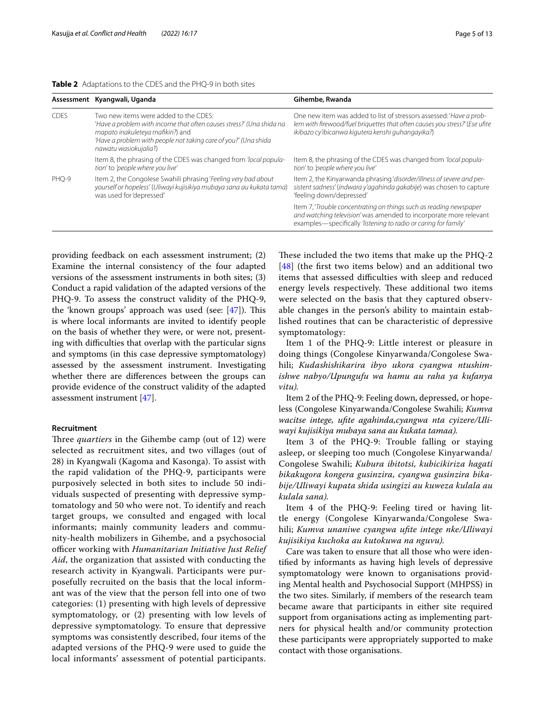<span id="page-4-0"></span>

|  | <b>Table 2</b> Adaptations to the CDES and the PHQ-9 in both sites |
|--|--------------------------------------------------------------------|
|--|--------------------------------------------------------------------|

|             | Assessment Kyangwali, Uganda                                                                                                                                                                                                                   | Gihembe, Rwanda                                                                                                                                                                                            |
|-------------|------------------------------------------------------------------------------------------------------------------------------------------------------------------------------------------------------------------------------------------------|------------------------------------------------------------------------------------------------------------------------------------------------------------------------------------------------------------|
| <b>CDES</b> | Two new items were added to the CDES:<br>'Have a problem with income that often causes stress?' (Una shida na<br>mapato inakuleteya mafikiri?) and<br>'Have a problem with people not taking care of you?' (Una shida<br>nawatu wasiokujalia?) | One new item was added to list of stressors assessed: 'Have a prob-<br>lem with firewood/fuel briguettes that often causes you stress?' (Ese ufite<br>ikibazo cy'ibicanwa kigutera kenshi guhangayika?)    |
|             | Item 8, the phrasing of the CDES was changed from 'local popula-<br>tion' to 'people where you live'                                                                                                                                           | Item 8, the phrasing of the CDES was changed from 'local popula-<br>tion' to 'people where you live'                                                                                                       |
| PHO-9       | Item 2, the Congolese Swahili phrasing 'Feeling very bad about<br>yourself or hopeless' (Uliwayi kujisikiya mubaya sana au kukata tama)<br>was used for 'depressed'                                                                            | Item 2, the Kinyarwanda phrasing 'disorder/illness of severe and per-<br>sistent sadness' (indwara y'agahinda gakabije) was chosen to capture<br>'feeling down/depressed'                                  |
|             |                                                                                                                                                                                                                                                | Item 7, 'Trouble concentrating on things such as reading newspaper<br>and watching television' was amended to incorporate more relevant<br>examples—specifically 'listening to radio or caring for family' |

providing feedback on each assessment instrument; (2) Examine the internal consistency of the four adapted versions of the assessment instruments in both sites; (3) Conduct a rapid validation of the adapted versions of the PHQ-9. To assess the construct validity of the PHQ-9, the 'known groups' approach was used (see:  $[47]$  $[47]$ ). This is where local informants are invited to identify people on the basis of whether they were, or were not, presenting with difficulties that overlap with the particular signs and symptoms (in this case depressive symptomatology) assessed by the assessment instrument. Investigating whether there are diferences between the groups can provide evidence of the construct validity of the adapted assessment instrument [[47\]](#page-12-12).

### **Recruitment**

Three *quartiers* in the Gihembe camp (out of 12) were selected as recruitment sites, and two villages (out of 28) in Kyangwali (Kagoma and Kasonga). To assist with the rapid validation of the PHQ-9, participants were purposively selected in both sites to include 50 individuals suspected of presenting with depressive symptomatology and 50 who were not. To identify and reach target groups, we consulted and engaged with local informants; mainly community leaders and community-health mobilizers in Gihembe, and a psychosocial officer working with *Humanitarian Initiative Just Relief Aid*, the organization that assisted with conducting the research activity in Kyangwali. Participants were purposefully recruited on the basis that the local informant was of the view that the person fell into one of two categories: (1) presenting with high levels of depressive symptomatology, or (2) presenting with low levels of depressive symptomatology. To ensure that depressive symptoms was consistently described, four items of the adapted versions of the PHQ-9 were used to guide the local informants' assessment of potential participants.

These included the two items that make up the  $PHQ-2$  $[48]$  $[48]$  $[48]$  (the first two items below) and an additional two items that assessed difficulties with sleep and reduced energy levels respectively. These additional two items were selected on the basis that they captured observable changes in the person's ability to maintain established routines that can be characteristic of depressive symptomatology:

Item 1 of the PHQ-9: Little interest or pleasure in doing things (Congolese Kinyarwanda/Congolese Swahili; *Kudashishikarira ibyo ukora cyangwa ntushimishwe nabyo/Upungufu wa hamu au raha ya kufanya vitu).*

Item 2 of the PHQ-9: Feeling down, depressed, or hopeless (Congolese Kinyarwanda/Congolese Swahili; *Kumva wacitse intege, ufte agahinda,cyangwa nta cyizere/Uliwayi kujisikiya mubaya sana au kukata tamaa).*

Item 3 of the PHQ-9: Trouble falling or staying asleep, or sleeping too much (Congolese Kinyarwanda/ Congolese Swahili; *Kubura ibitotsi, kubicikiriza hagati bikakugora kongera gusinzira, cyangwa gusinzira bikabije/Uliwayi kupata shida usingizi au kuweza kulala au kulala sana).*

Item 4 of the PHQ-9: Feeling tired or having little energy (Congolese Kinyarwanda/Congolese Swahili; *Kumva unaniwe cyangwa ufte intege nke/Uliwayi kujisikiya kuchoka au kutokuwa na nguvu).*

Care was taken to ensure that all those who were identifed by informants as having high levels of depressive symptomatology were known to organisations providing Mental health and Psychosocial Support (MHPSS) in the two sites. Similarly, if members of the research team became aware that participants in either site required support from organisations acting as implementing partners for physical health and/or community protection these participants were appropriately supported to make contact with those organisations.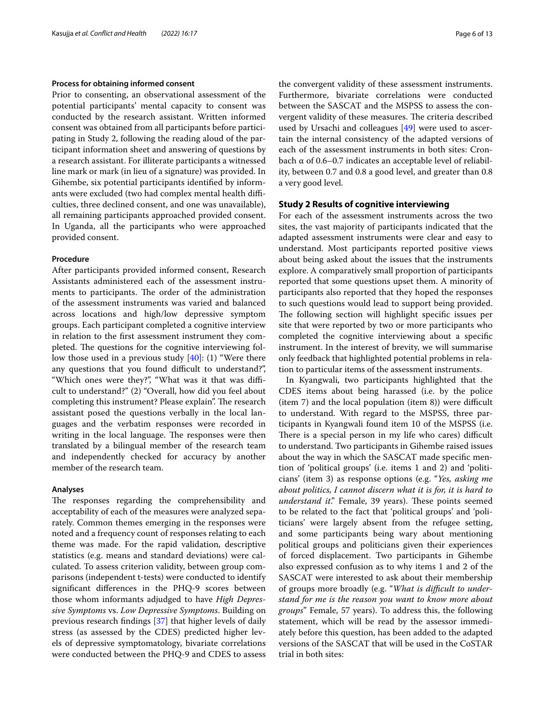### **Process for obtaining informed consent**

Prior to consenting, an observational assessment of the potential participants' mental capacity to consent was conducted by the research assistant. Written informed consent was obtained from all participants before participating in Study 2, following the reading aloud of the participant information sheet and answering of questions by a research assistant. For illiterate participants a witnessed line mark or mark (in lieu of a signature) was provided. In Gihembe, six potential participants identifed by informants were excluded (two had complex mental health difficulties, three declined consent, and one was unavailable), all remaining participants approached provided consent. In Uganda, all the participants who were approached provided consent.

### **Procedure**

After participants provided informed consent, Research Assistants administered each of the assessment instruments to participants. The order of the administration of the assessment instruments was varied and balanced across locations and high/low depressive symptom groups. Each participant completed a cognitive interview in relation to the frst assessment instrument they completed. The questions for the cognitive interviewing follow those used in a previous study [[40](#page-12-5)]: (1) "Were there any questions that you found difficult to understand?", "Which ones were they?", "What was it that was difficult to understand?" (2) "Overall, how did you feel about completing this instrument? Please explain". The research assistant posed the questions verbally in the local languages and the verbatim responses were recorded in writing in the local language. The responses were then translated by a bilingual member of the research team and independently checked for accuracy by another member of the research team.

#### **Analyses**

The responses regarding the comprehensibility and acceptability of each of the measures were analyzed separately. Common themes emerging in the responses were noted and a frequency count of responses relating to each theme was made. For the rapid validation, descriptive statistics (e.g. means and standard deviations) were calculated. To assess criterion validity, between group comparisons (independent t-tests) were conducted to identify signifcant diferences in the PHQ-9 scores between those whom informants adjudged to have *High Depressive Symptoms* vs. *Low Depressive Symptoms*. Building on previous research fndings [[37\]](#page-12-2) that higher levels of daily stress (as assessed by the CDES) predicted higher levels of depressive symptomatology, bivariate correlations were conducted between the PHQ-9 and CDES to assess the convergent validity of these assessment instruments. Furthermore, bivariate correlations were conducted between the SASCAT and the MSPSS to assess the convergent validity of these measures. The criteria described used by Ursachi and colleagues [\[49](#page-12-14)] were used to ascertain the internal consistency of the adapted versions of each of the assessment instruments in both sites: Cronbach α of 0.6–0.7 indicates an acceptable level of reliability, between 0.7 and 0.8 a good level, and greater than 0.8 a very good level.

## **Study 2 Results of cognitive interviewing**

For each of the assessment instruments across the two sites, the vast majority of participants indicated that the adapted assessment instruments were clear and easy to understand. Most participants reported positive views about being asked about the issues that the instruments explore. A comparatively small proportion of participants reported that some questions upset them. A minority of participants also reported that they hoped the responses to such questions would lead to support being provided. The following section will highlight specific issues per site that were reported by two or more participants who completed the cognitive interviewing about a specifc instrument. In the interest of brevity, we will summarise only feedback that highlighted potential problems in relation to particular items of the assessment instruments.

In Kyangwali, two participants highlighted that the CDES items about being harassed (i.e. by the police  $(item 7)$  and the local population  $(item 8)$ ) were difficult to understand. With regard to the MSPSS, three participants in Kyangwali found item 10 of the MSPSS (i.e. There is a special person in my life who cares) difficult to understand. Two participants in Gihembe raised issues about the way in which the SASCAT made specifc mention of 'political groups' (i.e. items 1 and 2) and 'politicians' (item 3) as response options (e.g. "*Yes, asking me about politics, I cannot discern what it is for, it is hard to understand it.*" Female, 39 years). These points seemed to be related to the fact that 'political groups' and 'politicians' were largely absent from the refugee setting, and some participants being wary about mentioning political groups and politicians given their experiences of forced displacement. Two participants in Gihembe also expressed confusion as to why items 1 and 2 of the SASCAT were interested to ask about their membership of groups more broadly (e.g. "*What is difcult to understand for me is the reason you want to know more about groups*" Female, 57 years). To address this, the following statement, which will be read by the assessor immediately before this question, has been added to the adapted versions of the SASCAT that will be used in the CoSTAR trial in both sites: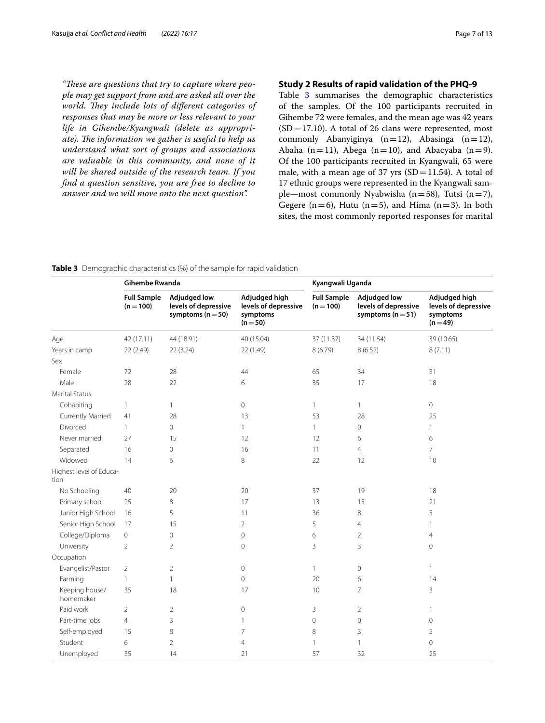"These are questions that try to capture where peo*ple may get support from and are asked all over the*  world. They include lots of different categories of *responses that may be more or less relevant to your life in Gihembe/Kyangwali (delete as appropri*ate). The information we gather is useful to help us *understand what sort of groups and associations are valuable in this community, and none of it will be shared outside of the research team. If you fnd a question sensitive, you are free to decline to answer and we will move onto the next question".*

## **Study 2 Results of rapid validation of the PHQ‑9**

Table [3](#page-6-0) summarises the demographic characteristics of the samples. Of the 100 participants recruited in Gihembe 72 were females, and the mean age was 42 years  $(SD=17.10)$ . A total of 26 clans were represented, most commonly Abanyiginya  $(n=12)$ , Abasinga  $(n=12)$ , Abaha (n=11), Abega (n=10), and Abacyaba (n=9). Of the 100 participants recruited in Kyangwali, 65 were male, with a mean age of 37 yrs  $(SD=11.54)$ . A total of 17 ethnic groups were represented in the Kyangwali sample—most commonly Nyabwisha (n=58), Tutsi (n=7), Gegere ( $n=6$ ), Hutu ( $n=5$ ), and Hima ( $n=3$ ). In both sites, the most commonly reported responses for marital

<span id="page-6-0"></span>**Table 3** Demographic characteristics (%) of the sample for rapid validation

|                                 | <b>Gihembe Rwanda</b>             |                                                                      | Kyangwali Uganda                                              |                                 |                                                                      |                                                               |
|---------------------------------|-----------------------------------|----------------------------------------------------------------------|---------------------------------------------------------------|---------------------------------|----------------------------------------------------------------------|---------------------------------------------------------------|
|                                 | <b>Full Sample</b><br>$(n = 100)$ | <b>Adjudged low</b><br>levels of depressive<br>symptoms ( $n = 50$ ) | Adjudged high<br>levels of depressive<br>symptoms<br>$(n=50)$ | <b>Full Sample</b><br>$(n=100)$ | <b>Adjudged low</b><br>levels of depressive<br>symptoms ( $n = 51$ ) | Adjudged high<br>levels of depressive<br>symptoms<br>$(n=49)$ |
| Age                             | 42 (17.11)                        | 44 (18.91)                                                           | 40 (15.04)                                                    | 37 (11.37)                      | 34 (11.54)                                                           | 39 (10.65)                                                    |
| Years in camp                   | 22 (2.49)                         | 22(3.24)                                                             | 22 (1.49)                                                     | 8 (6.79)                        | 8(6.52)                                                              | 8(7.11)                                                       |
| Sex                             |                                   |                                                                      |                                                               |                                 |                                                                      |                                                               |
| Female                          | 72                                | 28                                                                   | 44                                                            | 65                              | 34                                                                   | 31                                                            |
| Male                            | 28                                | 22                                                                   | 6                                                             | 35                              | 17                                                                   | 18                                                            |
| <b>Marital Status</b>           |                                   |                                                                      |                                                               |                                 |                                                                      |                                                               |
| Cohabiting                      | $\mathbf{1}$                      | 1                                                                    | 0                                                             | $\mathbf{1}$                    | $\mathbf{1}$                                                         | $\circ$                                                       |
| Currently Married               | 41                                | 28                                                                   | 13                                                            | 53                              | 28                                                                   | 25                                                            |
| Divorced                        | $\mathbf{1}$                      | $\overline{0}$                                                       | $\mathbf{1}$                                                  | $\mathbf{1}$                    | $\overline{0}$                                                       | $\mathbf{1}$                                                  |
| Never married                   | 27                                | 15                                                                   | 12                                                            | 12                              | 6                                                                    | 6                                                             |
| Separated                       | 16                                | 0                                                                    | 16                                                            | 11                              | $\overline{4}$                                                       | $\overline{7}$                                                |
| Widowed                         | 14                                | 6                                                                    | 8                                                             | 22                              | 12                                                                   | 10                                                            |
| Highest level of Educa-<br>tion |                                   |                                                                      |                                                               |                                 |                                                                      |                                                               |
| No Schooling                    | 40                                | 20                                                                   | 20                                                            | 37                              | 19                                                                   | 18                                                            |
| Primary school                  | 25                                | 8                                                                    | 17                                                            | 13                              | 15                                                                   | 21                                                            |
| Junior High School              | 16                                | 5                                                                    | 11                                                            | 36                              | 8                                                                    | 5                                                             |
| Senior High School              | 17                                | 15                                                                   | $\overline{2}$                                                | 5                               | $\overline{4}$                                                       | $\mathbf{1}$                                                  |
| College/Diploma                 | $\circ$                           | 0                                                                    | $\mathbf 0$                                                   | 6                               | $\overline{2}$                                                       | $\overline{4}$                                                |
| University                      | $\overline{2}$                    | 2                                                                    | $\mathbf 0$                                                   | 3                               | 3                                                                    | $\mathbf{0}$                                                  |
| Occupation                      |                                   |                                                                      |                                                               |                                 |                                                                      |                                                               |
| Evangelist/Pastor               | $\overline{2}$                    | $\overline{2}$                                                       | 0                                                             | $\mathbf{1}$                    | $\mathbf{0}$                                                         | $\mathbf{1}$                                                  |
| Farming                         | $\mathbf{1}$                      | 1                                                                    | 0                                                             | 20                              | 6                                                                    | 14                                                            |
| Keeping house/<br>homemaker     | 35                                | 18                                                                   | 17                                                            | 10                              | $\overline{7}$                                                       | 3                                                             |
| Paid work                       | $\overline{2}$                    | 2                                                                    | 0                                                             | 3                               | $\overline{2}$                                                       | 1                                                             |
| Part-time jobs                  | $\overline{4}$                    | 3                                                                    | 1                                                             | 0                               | $\mathbf 0$                                                          | $\mathbf 0$                                                   |
| Self-employed                   | 15                                | 8                                                                    | $\overline{7}$                                                | 8                               | 3                                                                    | 5                                                             |
| Student                         | 6                                 | $\overline{2}$                                                       | $\overline{4}$                                                | $\mathbf{1}$                    | $\mathbf{1}$                                                         | $\mathbf{0}$                                                  |
| Unemployed                      | 35                                | 14                                                                   | 21                                                            | 57                              | 32                                                                   | 25                                                            |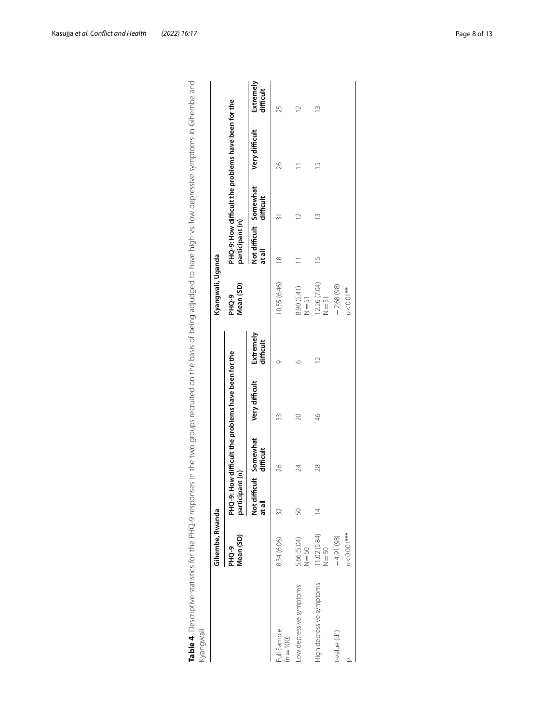|                            | Gihembe, Rwanda          |                                 |           |                                                     |                        | Kyangwali, Uganda                   |                 |                                     |                                                     |                        |
|----------------------------|--------------------------|---------------------------------|-----------|-----------------------------------------------------|------------------------|-------------------------------------|-----------------|-------------------------------------|-----------------------------------------------------|------------------------|
|                            | Mean (SD)<br>PHQ-9       | participant (n)                 |           | PHQ-9: How difficult the problems have been for the |                        | Mean (SD)<br>PHQ-9                  | participant (n) |                                     | PHQ-9: How difficult the problems have been for the |                        |
|                            |                          | Not difficult Somewhat<br>atall | difficult | Very difficult                                      | Extremely<br>difficult |                                     | at all          | Not difficult Somewhat<br>difficult | Very difficult                                      | Extremely<br>difficult |
| Juli Sample<br>$(n = 100)$ | 8.34 (6.06)              | 32                              | 26        | 33                                                  |                        | 10.55 (6.46)                        | $\frac{8}{18}$  |                                     | 26                                                  | 25                     |
| ow depressive symptoms     | 5.66 (5.04)<br>$N = 50$  | 50                              | 24        | 20                                                  | O                      | 8.90 (5.41)<br>51<br>N = 51         |                 |                                     |                                                     |                        |
| High depressive symptoms   | 11.02 (5.84)<br>$N = 50$ | $\overline{4}$                  | 28        | $\frac{4}{6}$                                       | $\overline{1}$         | 12.26 (7.04)<br>$\overline{N} = 51$ | $\frac{5}{1}$   | $\tilde{c}$                         | $\frac{5}{1}$                                       | $\frac{3}{2}$          |
| t-value (df)               | $-4.91(98)$              |                                 |           |                                                     |                        | $-2.68(98)$                         |                 |                                     |                                                     |                        |
|                            | $p < 0.001***$           |                                 |           |                                                     |                        | $p < 0.01***$                       |                 |                                     |                                                     |                        |

<span id="page-7-0"></span>

| I<br>$\frac{1}{2}$<br>$\mathbf$                                      |        |
|----------------------------------------------------------------------|--------|
| Ş                                                                    |        |
| l                                                                    |        |
|                                                                      |        |
|                                                                      |        |
|                                                                      |        |
|                                                                      |        |
| $\frac{1}{2}$                                                        |        |
|                                                                      |        |
| こり リーラリー                                                             |        |
|                                                                      |        |
| )<br>)<br>)                                                          |        |
|                                                                      |        |
| $\overline{ }$                                                       |        |
| ^^ ^ ニフニー ノン                                                         |        |
| $\mathfrak{g}$                                                       |        |
|                                                                      |        |
|                                                                      |        |
| And to bave high vs. Jour depressing sumptome in Cihop.              |        |
| )<br>)<br>)                                                          |        |
|                                                                      |        |
| 5                                                                    |        |
|                                                                      |        |
|                                                                      |        |
|                                                                      |        |
|                                                                      |        |
|                                                                      |        |
| うっこうりょ                                                               |        |
| ponces in the two argument centrical own and basic of heino adjuding |        |
|                                                                      |        |
| )<br>)<br>)<br>;                                                     |        |
|                                                                      |        |
| j                                                                    |        |
|                                                                      |        |
| )<br>)<br>)                                                          |        |
|                                                                      |        |
| ה<br>?                                                               |        |
| ;<br>;<br>;                                                          |        |
|                                                                      |        |
|                                                                      |        |
| ミリンクション                                                              |        |
|                                                                      |        |
|                                                                      |        |
|                                                                      |        |
|                                                                      |        |
|                                                                      |        |
|                                                                      |        |
|                                                                      |        |
|                                                                      |        |
|                                                                      |        |
|                                                                      |        |
|                                                                      |        |
|                                                                      |        |
| i                                                                    |        |
| )<br>)                                                               |        |
|                                                                      |        |
|                                                                      | i<br>١ |
|                                                                      |        |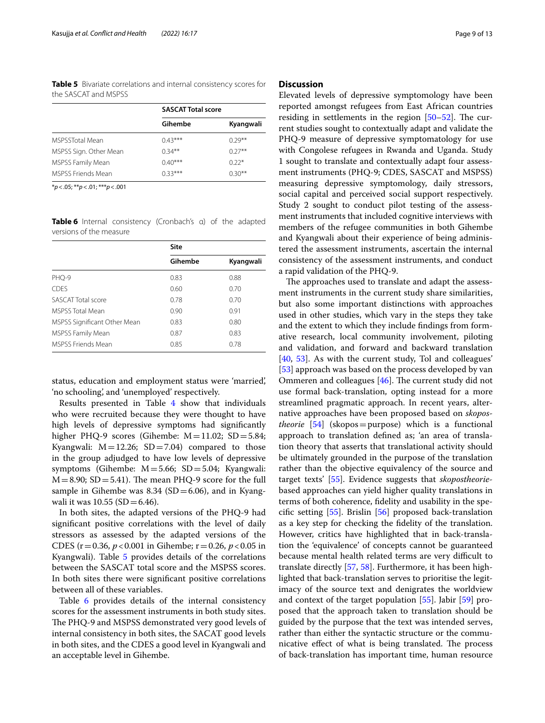<span id="page-8-0"></span>**Table 5** Bivariate correlations and internal consistency scores for the SASCAT and MSPSS

|                           | <b>SASCAT Total score</b> |           |
|---------------------------|---------------------------|-----------|
|                           | Gihembe                   | Kyangwali |
| MSPSSTotal Mean           | $0.43***$                 | $0.29**$  |
| MSPSS Sign. Other Mean    | $0.34***$                 | $(1.27**$ |
| MSPSS Family Mean         | $0.40***$                 | $0.22*$   |
| <b>MSPSS Friends Mean</b> | $0.33***$                 | $0.30**$  |

\**p*<.05; \*\**p*<.01; \*\*\**p*<.001

<span id="page-8-1"></span>**Table 6** Internal consistency (Cronbach's α) of the adapted versions of the measure

|                              | Site    |           |
|------------------------------|---------|-----------|
|                              | Gihembe | Kyangwali |
| PHQ-9                        | 0.83    | 0.88      |
| <b>CDES</b>                  | 0.60    | 0.70      |
| SASCAT Total score           | 0.78    | 0.70      |
| <b>MSPSS Total Mean</b>      | 0.90    | 0.91      |
| MSPSS Significant Other Mean | 0.83    | 0.80      |
| MSPSS Family Mean            | 0.87    | 0.83      |
| <b>MSPSS Friends Mean</b>    | 0.85    | 0.78      |

status, education and employment status were 'married', 'no schooling', and 'unemployed' respectively.

Results presented in Table [4](#page-7-0) show that individuals who were recruited because they were thought to have high levels of depressive symptoms had signifcantly higher PHQ-9 scores (Gihembe:  $M=11.02$ ; SD $=5.84$ ; Kyangwali:  $M = 12.26$ ;  $SD = 7.04$ ) compared to those in the group adjudged to have low levels of depressive symptoms (Gihembe: M=5.66; SD=5.04; Kyangwali:  $M=8.90$ ; SD = 5.41). The mean PHQ-9 score for the full sample in Gihembe was 8.34 (SD=6.06), and in Kyangwali it was  $10.55$  (SD = 6.46).

In both sites, the adapted versions of the PHQ-9 had signifcant positive correlations with the level of daily stressors as assessed by the adapted versions of the CDES (r=0.36, *p*<0.001 in Gihembe; r=0.26, *p*<0.05 in Kyangwali). Table [5](#page-8-0) provides details of the correlations between the SASCAT total score and the MSPSS scores. In both sites there were signifcant positive correlations between all of these variables.

Table [6](#page-8-1) provides details of the internal consistency scores for the assessment instruments in both study sites. The PHQ-9 and MSPSS demonstrated very good levels of internal consistency in both sites, the SACAT good levels in both sites, and the CDES a good level in Kyangwali and an acceptable level in Gihembe.

## **Discussion**

Elevated levels of depressive symptomology have been reported amongst refugees from East African countries residing in settlements in the region  $[50-52]$  $[50-52]$  $[50-52]$ . The current studies sought to contextually adapt and validate the PHQ-9 measure of depressive symptomatology for use with Congolese refugees in Rwanda and Uganda. Study 1 sought to translate and contextually adapt four assessment instruments (PHQ-9; CDES, SASCAT and MSPSS) measuring depressive symptomology, daily stressors, social capital and perceived social support respectively. Study 2 sought to conduct pilot testing of the assessment instruments that included cognitive interviews with members of the refugee communities in both Gihembe and Kyangwali about their experience of being administered the assessment instruments, ascertain the internal consistency of the assessment instruments, and conduct a rapid validation of the PHQ-9.

The approaches used to translate and adapt the assessment instruments in the current study share similarities, but also some important distinctions with approaches used in other studies, which vary in the steps they take and the extent to which they include fndings from formative research, local community involvement, piloting and validation, and forward and backward translation [[40,](#page-12-5) [53\]](#page-12-17). As with the current study, Tol and colleagues' [[53\]](#page-12-17) approach was based on the process developed by van Ommeren and colleagues  $[46]$  $[46]$ . The current study did not use formal back-translation, opting instead for a more streamlined pragmatic approach. In recent years, alternative approaches have been proposed based on *skopostheorie* [[54\]](#page-12-18) (skopos=purpose) which is a functional approach to translation defned as; 'an area of translation theory that asserts that translational activity should be ultimately grounded in the purpose of the translation rather than the objective equivalency of the source and target texts' [[55\]](#page-12-19). Evidence suggests that *skopostheorie*based approaches can yield higher quality translations in terms of both coherence, fdelity and usability in the specifc setting [\[55\]](#page-12-19). Brislin [[56\]](#page-12-20) proposed back-translation as a key step for checking the fdelity of the translation. However, critics have highlighted that in back-translation the 'equivalence' of concepts cannot be guaranteed because mental health related terms are very difficult to translate directly [\[57](#page-12-21), [58\]](#page-12-22). Furthermore, it has been highlighted that back-translation serves to prioritise the legitimacy of the source text and denigrates the worldview and context of the target population [\[55](#page-12-19)]. Jabir [[59\]](#page-12-23) proposed that the approach taken to translation should be guided by the purpose that the text was intended serves, rather than either the syntactic structure or the communicative effect of what is being translated. The process of back-translation has important time, human resource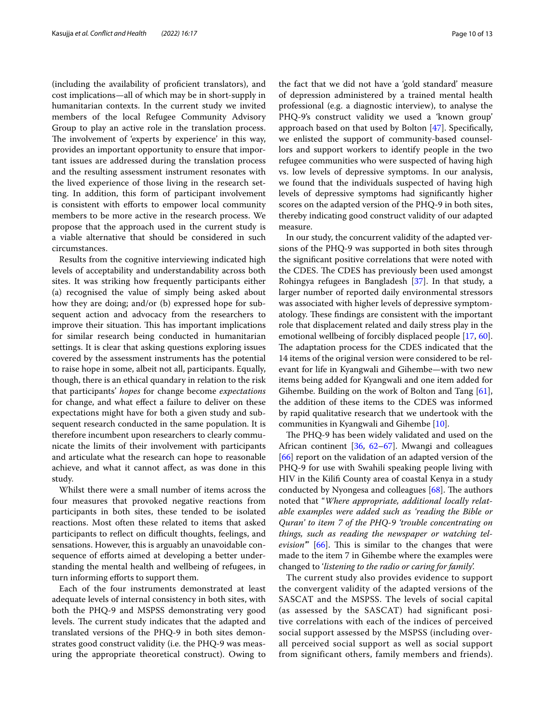(including the availability of profcient translators), and cost implications—all of which may be in short-supply in humanitarian contexts. In the current study we invited members of the local Refugee Community Advisory Group to play an active role in the translation process. The involvement of 'experts by experience' in this way, provides an important opportunity to ensure that important issues are addressed during the translation process and the resulting assessment instrument resonates with the lived experience of those living in the research setting. In addition, this form of participant involvement is consistent with efforts to empower local community members to be more active in the research process. We propose that the approach used in the current study is a viable alternative that should be considered in such circumstances.

Results from the cognitive interviewing indicated high levels of acceptability and understandability across both sites. It was striking how frequently participants either (a) recognised the value of simply being asked about how they are doing; and/or (b) expressed hope for subsequent action and advocacy from the researchers to improve their situation. This has important implications for similar research being conducted in humanitarian settings. It is clear that asking questions exploring issues covered by the assessment instruments has the potential to raise hope in some, albeit not all, participants. Equally, though, there is an ethical quandary in relation to the risk that participants' *hopes* for change become *expectations* for change, and what efect a failure to deliver on these expectations might have for both a given study and subsequent research conducted in the same population. It is therefore incumbent upon researchers to clearly communicate the limits of their involvement with participants and articulate what the research can hope to reasonable achieve, and what it cannot afect, as was done in this study.

Whilst there were a small number of items across the four measures that provoked negative reactions from participants in both sites, these tended to be isolated reactions. Most often these related to items that asked participants to reflect on difficult thoughts, feelings, and sensations. However, this is arguably an unavoidable consequence of efforts aimed at developing a better understanding the mental health and wellbeing of refugees, in turn informing efforts to support them.

Each of the four instruments demonstrated at least adequate levels of internal consistency in both sites, with both the PHQ-9 and MSPSS demonstrating very good levels. The current study indicates that the adapted and translated versions of the PHQ-9 in both sites demonstrates good construct validity (i.e. the PHQ-9 was measuring the appropriate theoretical construct). Owing to the fact that we did not have a 'gold standard' measure of depression administered by a trained mental health professional (e.g. a diagnostic interview), to analyse the PHQ-9's construct validity we used a 'known group' approach based on that used by Bolton [[47\]](#page-12-12). Specifcally, we enlisted the support of community-based counsellors and support workers to identify people in the two refugee communities who were suspected of having high vs. low levels of depressive symptoms. In our analysis, we found that the individuals suspected of having high levels of depressive symptoms had signifcantly higher scores on the adapted version of the PHQ-9 in both sites, thereby indicating good construct validity of our adapted measure.

In our study, the concurrent validity of the adapted versions of the PHQ-9 was supported in both sites through the signifcant positive correlations that were noted with the CDES. The CDES has previously been used amongst Rohingya refugees in Bangladesh [[37\]](#page-12-2). In that study, a larger number of reported daily environmental stressors was associated with higher levels of depressive symptomatology. These findings are consistent with the important role that displacement related and daily stress play in the emotional wellbeing of forcibly displaced people [[17](#page-11-13), [60](#page-12-24)]. The adaptation process for the CDES indicated that the 14 items of the original version were considered to be relevant for life in Kyangwali and Gihembe—with two new items being added for Kyangwali and one item added for Gihembe. Building on the work of Bolton and Tang [\[61](#page-12-25)], the addition of these items to the CDES was informed by rapid qualitative research that we undertook with the communities in Kyangwali and Gihembe [\[10\]](#page-11-30).

The PHQ-9 has been widely validated and used on the African continent [\[36,](#page-12-1) [62](#page-12-26)[–67](#page-12-27)]. Mwangi and colleagues [[66\]](#page-12-28) report on the validation of an adapted version of the PHQ-9 for use with Swahili speaking people living with HIV in the Kilif County area of coastal Kenya in a study conducted by Nyongesa and colleagues  $[68]$  $[68]$  $[68]$ . The authors noted that "*Where appropriate, additional locally relatable examples were added such as 'reading the Bible or Quran' to item 7 of the PHQ-9 'trouble concentrating on things, such as reading the newspaper or watching television*" [[66\]](#page-12-28). This is similar to the changes that were made to the item 7 in Gihembe where the examples were changed to '*listening to the radio or caring for family*'.

The current study also provides evidence to support the convergent validity of the adapted versions of the SASCAT and the MSPSS. The levels of social capital (as assessed by the SASCAT) had significant positive correlations with each of the indices of perceived social support assessed by the MSPSS (including overall perceived social support as well as social support from significant others, family members and friends).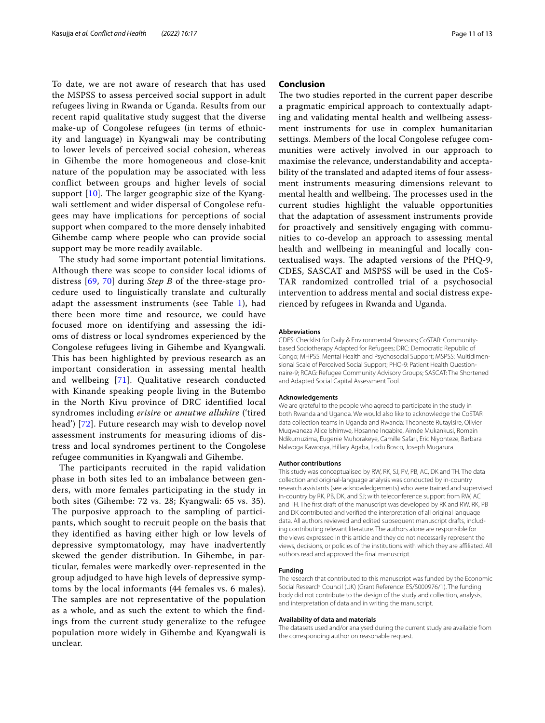To date, we are not aware of research that has used the MSPSS to assess perceived social support in adult refugees living in Rwanda or Uganda. Results from our recent rapid qualitative study suggest that the diverse make-up of Congolese refugees (in terms of ethnicity and language) in Kyangwali may be contributing to lower levels of perceived social cohesion, whereas in Gihembe the more homogeneous and close-knit nature of the population may be associated with less conflict between groups and higher levels of social support [[10\]](#page-11-30). The larger geographic size of the Kyangwali settlement and wider dispersal of Congolese refugees may have implications for perceptions of social support when compared to the more densely inhabited Gihembe camp where people who can provide social support may be more readily available.

The study had some important potential limitations. Although there was scope to consider local idioms of distress [[69](#page-12-30), [70](#page-12-31)] during *Step B* of the three-stage procedure used to linguistically translate and culturally adapt the assessment instruments (see Table  $1$ ), had there been more time and resource, we could have focused more on identifying and assessing the idioms of distress or local syndromes experienced by the Congolese refugees living in Gihembe and Kyangwali. This has been highlighted by previous research as an important consideration in assessing mental health and wellbeing [\[71\]](#page-12-32). Qualitative research conducted with Kinande speaking people living in the Butembo in the North Kivu province of DRC identified local syndromes including *erisire* or *amutwe alluhire* ('tired head') [[72](#page-12-33)]. Future research may wish to develop novel assessment instruments for measuring idioms of distress and local syndromes pertinent to the Congolese refugee communities in Kyangwali and Gihembe.

The participants recruited in the rapid validation phase in both sites led to an imbalance between genders, with more females participating in the study in both sites (Gihembe: 72 vs. 28; Kyangwali: 65 vs. 35). The purposive approach to the sampling of participants, which sought to recruit people on the basis that they identified as having either high or low levels of depressive symptomatology, may have inadvertently skewed the gender distribution. In Gihembe, in particular, females were markedly over-represented in the group adjudged to have high levels of depressive symptoms by the local informants (44 females vs. 6 males). The samples are not representative of the population as a whole, and as such the extent to which the findings from the current study generalize to the refugee population more widely in Gihembe and Kyangwali is unclear.

## **Conclusion**

The two studies reported in the current paper describe a pragmatic empirical approach to contextually adapting and validating mental health and wellbeing assessment instruments for use in complex humanitarian settings. Members of the local Congolese refugee communities were actively involved in our approach to maximise the relevance, understandability and acceptability of the translated and adapted items of four assessment instruments measuring dimensions relevant to mental health and wellbeing. The processes used in the current studies highlight the valuable opportunities that the adaptation of assessment instruments provide for proactively and sensitively engaging with communities to co-develop an approach to assessing mental health and wellbeing in meaningful and locally contextualised ways. The adapted versions of the PHQ-9, CDES, SASCAT and MSPSS will be used in the CoS-TAR randomized controlled trial of a psychosocial intervention to address mental and social distress experienced by refugees in Rwanda and Uganda.

#### **Abbreviations**

CDES: Checklist for Daily & Environmental Stressors; CoSTAR: Communitybased Sociotherapy Adapted for Refugees; DRC: Democratic Republic of Congo; MHPSS: Mental Health and Psychosocial Support; MSPSS: Multidimensional Scale of Perceived Social Support; PHQ-9: Patient Health Questionnaire-9; RCAG: Refugee Community Advisory Groups; SASCAT: The Shortened and Adapted Social Capital Assessment Tool.

#### **Acknowledgements**

We are grateful to the people who agreed to participate in the study in both Rwanda and Uganda. We would also like to acknowledge the CoSTAR data collection teams in Uganda and Rwanda: Theoneste Rutayisire, Olivier Mugwaneza Alice Ishimwe, Hosanne Ingabire, Aimée Mukankusi, Romain Ndikumuzima, Eugenie Muhorakeye, Camille Safari, Eric Niyonteze, Barbara Nalwoga Kawooya, Hillary Agaba, Lodu Bosco, Joseph Mugarura.

#### **Author contributions**

This study was conceptualised by RW, RK, SJ, PV, PB, AC, DK and TH. The data collection and original-language analysis was conducted by in-country research assistants (see acknowledgements) who were trained and supervised in-country by RK, PB, DK, and SJ; with teleconference support from RW, AC and TH. The frst draft of the manuscript was developed by RK and RW. RK, PB and DK contributed and verifed the interpretation of all original language data. All authors reviewed and edited subsequent manuscript drafts, including contributing relevant literature. The authors alone are responsible for the views expressed in this article and they do not necessarily represent the views, decisions, or policies of the institutions with which they are affiliated. All authors read and approved the fnal manuscript.

#### **Funding**

The research that contributed to this manuscript was funded by the Economic Social Research Council (UK) (Grant Reference: ES/S000976/1). The funding body did not contribute to the design of the study and collection, analysis, and interpretation of data and in writing the manuscript.

#### **Availability of data and materials**

The datasets used and/or analysed during the current study are available from the corresponding author on reasonable request.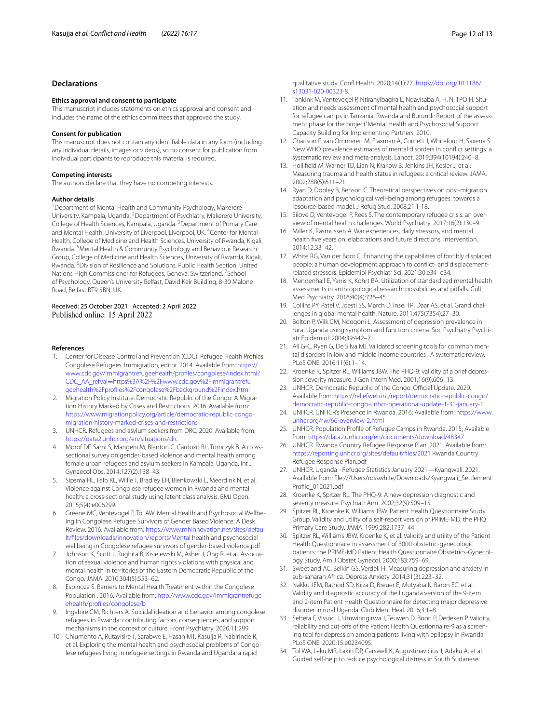## **Declarations**

#### **Ethics approval and consent to participate**

This manuscript includes statements on ethics approval and consent and includes the name of the ethics committees that approved the study.

#### **Consent for publication**

This manuscript does not contain any identifable data in any form (including any individual details, images or videos), so no consent for publication from individual participants to reproduce this material is required.

#### **Competing interests**

The authors declare that they have no competing interests.

#### **Author details**

<sup>1</sup> Department of Mental Health and Community Psychology, Makerere University, Kampala, Uganda. <sup>2</sup> Department of Psychiatry, Makerere University, College of Health Sciences, Kampala, Uganda. <sup>3</sup> Department of Primary Care and Mental Health, University of Liverpool, Liverpool, UK. <sup>4</sup>Center for Mental Health, College of Medicine and Health Sciences, University of Rwanda, Kigali, Rwanda. <sup>5</sup> Mental Health & Community Psychology and Behaviour Research Group, College of Medicine and Health Sciences, University of Rwanda, Kigali, Rwanda. <sup>6</sup> Division of Resilience and Solutions, Public Health Section, United Nations High Commissioner for Refugees, Geneva, Switzerland. <sup>7</sup>School of Psychology, Queen's University Belfast, David Keir Building, 8-30 Malone Road, Belfast BT9 5BN, UK.

#### Received: 25 October 2021 Accepted: 2 April 2022 Published online: 15 April 2022

#### **References**

- <span id="page-11-0"></span>1. Center for Disease Control and Prevention (CDC). Refugee Health Profles: Congolese Refugees. Immigration, editor. 2014. Available from: [https://](https://www.cdc.gov/immigrantrefugeehealth/profiles/congolese/index.html?CDC_AA_refVal=https%3A%2F%2Fwww.cdc.gov%2Fimmigrantrefugeehealth%2Fprofiles%2Fcongolese%2Fbackground%2Findex.html) [www.cdc.gov/immigrantrefugeehealth/profles/congolese/index.html?](https://www.cdc.gov/immigrantrefugeehealth/profiles/congolese/index.html?CDC_AA_refVal=https%3A%2F%2Fwww.cdc.gov%2Fimmigrantrefugeehealth%2Fprofiles%2Fcongolese%2Fbackground%2Findex.html) CDC\_AA\_refVal=[https%3A%2F%2Fwww.cdc.gov%2Fimmigrantrefu](https://www.cdc.gov/immigrantrefugeehealth/profiles/congolese/index.html?CDC_AA_refVal=https%3A%2F%2Fwww.cdc.gov%2Fimmigrantrefugeehealth%2Fprofiles%2Fcongolese%2Fbackground%2Findex.html) [geehealth%2Fprofles%2Fcongolese%2Fbackground%2Findex.html](https://www.cdc.gov/immigrantrefugeehealth/profiles/congolese/index.html?CDC_AA_refVal=https%3A%2F%2Fwww.cdc.gov%2Fimmigrantrefugeehealth%2Fprofiles%2Fcongolese%2Fbackground%2Findex.html)
- <span id="page-11-1"></span>2. Migration Policy Institute. Democratic Republic of the Congo: A Migration History Marked by Crises and Restrictions. 2016. Available from: [https://www.migrationpolicy.org/article/democratic-republic-congo](https://www.migrationpolicy.org/article/democratic-republic-congo-migration-history-marked-crises-and-restrictions)[migration-history-marked-crises-and-restrictions](https://www.migrationpolicy.org/article/democratic-republic-congo-migration-history-marked-crises-and-restrictions)
- <span id="page-11-2"></span>3. UNHCR. Refugees and asylum seekers from DRC. 2020. Available from: <https://data2.unhcr.org/en/situations/drc>
- <span id="page-11-3"></span>4. Morof DF, Sami S, Mangeni M, Blanton C, Cardozo BL, Tomczyk B. A crosssectional survey on gender-based violence and mental health among female urban refugees and asylum seekers in Kampala, Uganda. Int J Gynaecol Obs. 2014;127(2):138–43.
- <span id="page-11-4"></span>5. Sipsma HL, Falb KL, Willie T, Bradley EH, Bienkowski L, Meerdink N, et al. Violence against Congolese refugee women in Rwanda and mental health: a cross-sectional study using latent class analysis. BMJ Open. 2015;5(4):e006299.
- <span id="page-11-5"></span>6. Greene MC, Ventevogel P, Tol AW. Mental Health and Psychosocial Wellbeing in Congolese Refugee Survivors of Gender Based Violence: A Desk Review. 2016. Available from: [https://www.mhinnovation.net/sites/defau](https://www.mhinnovation.net/sites/default/files/downloads/innovation/reports/Mental) [lt/fles/downloads/innovation/reports/Mental](https://www.mhinnovation.net/sites/default/files/downloads/innovation/reports/Mental) health and psychosocial wellbeing in Congolese refugee survivors of gender-based violence.pdf
- <span id="page-11-6"></span>7. Johnson K, Scott J, Rughita B, Kisielewski M, Asher J, Ong R, et al. Association of sexual violence and human rights violations with physical and mental health in territories of the Eastern Democratic Republic of the Congo. JAMA. 2010;304(5):553–62.
- <span id="page-11-7"></span>8. Espinoza S. Barriers to Mental Health Treatment within the Congolese Population . 2016. Available from: [http://www.cdc.gov/immigrantrefuge](http://www.cdc.gov/immigrantrefugeehealth/profiles/congolese/b) [ehealth/profles/congolese/b](http://www.cdc.gov/immigrantrefugeehealth/profiles/congolese/b)
- 9. Ingabire CM, Richters A. Suicidal ideation and behavior among congolese refugees in Rwanda: contributing factors, consequences, and support mechanisms in the context of culture. Front Psychiatry. 2020;11:299.
- <span id="page-11-30"></span>10. Chiumento A, Rutayisire T, Sarabwe E, Hasan MT, Kasujja R, Nabirinde R, et al. Exploring the mental health and psychosocial problems of Congolese refugees living in refugee settings in Rwanda and Uganda: a rapid

qualitative study. Conf Health. 2020;14(1):77. [https://doi.org/10.1186/](https://doi.org/10.1186/s13031-020-00323-8) [s13031-020-00323-8](https://doi.org/10.1186/s13031-020-00323-8).

- <span id="page-11-8"></span>11. Tankink M, Ventevogel P, Ntiranyibagira L, Ndayisaba A, H. N, TPO H. Situation and needs assessment of mental health and psychosocial support for refugee camps in Tanzania, Rwanda and Burundi: Report of the assessment phase for the project' Mental Health and Psychosocial Support Capacity Building for Implementing Partners. 2010.
- <span id="page-11-9"></span>12. Charlson F, van Ommeren M, Flaxman A, Cornett J, Whiteford H, Saxena S. New WHO prevalence estimates of mental disorders in confict settings: a systematic review and meta-analysis. Lancet. 2019;394(10194):240–8.
- <span id="page-11-10"></span>13. Hollifeld M, Warner TD, Lian N, Krakow B, Jenkins JH, Kesler J, et al. Measuring trauma and health status in refugees: a critical review. JAMA. 2002;288(5):611–21.
- 14. Ryan D, Dooley B, Benson C. Theoretical perspectives on post-migration adaptation and psychological well-being among refugees: towards a resource-based model. J Refug Stud. 2008;21:1-18.
- <span id="page-11-11"></span>15. Silove D, Ventevogel P, Rees S. The contemporary refugee crisis: an overview of mental health challenges. World Psychiatry. 2017;16(2):130–9.
- <span id="page-11-12"></span>16. Miller K, Rasmussen A. War experiences, daily stressors, and mental health fve years on: elaborations and future directions. Intervention. 2014;12:33–42.
- <span id="page-11-13"></span>17. White RG, Van der Boor C. Enhancing the capabilities of forcibly displaced people: a human development approach to confict- and displacementrelated stressors. Epidemiol Psychiatr Sci. 2021;30:e34–e34.
- <span id="page-11-14"></span>18. Mendenhall E, Yarris K, Kohrt BA. Utilization of standardized mental health assessments in anthropological research: possibilities and pitfalls. Cult Med Psychiatry. 2016;40(4):726–45.
- 19. Collins PY, Patel V, Joestl SS, March D, Insel TR, Daar AS, et al. Grand challenges in global mental health. Nature. 2011;475(7354):27–30.
- <span id="page-11-15"></span>20. Bolton P, Wilk CM, Ndogoni L. Assessment of depression prevalence in rural Uganda using symptom and function criteria. Soc Psychiatry Psychiatr Epidemiol. 2004;39:442–7.
- <span id="page-11-16"></span>21. Ali G-C, Ryan G, De Silva MJ. Validated screening tools for common mental disorders in low and middle income countries : A systematic review. PLoS ONE. 2016;11(6):1–14.
- <span id="page-11-17"></span>22. Kroenke K, Spitzer RL, Williams JBW. The PHQ-9: validity of a brief depression severity measure. J Gen Intern Med. 2001;16(9):606–13.
- <span id="page-11-18"></span>23. UNHCR. Democratic Republic of the Congo. Official Update. 2020. Available from: [https://reliefweb.int/report/democratic-republic-congo/](https://reliefweb.int/report/democratic-republic-congo/democratic-republic-congo-unhcr-operational-update-1-31-january-1) [democratic-republic-congo-unhcr-operational-update-1-31-january-1](https://reliefweb.int/report/democratic-republic-congo/democratic-republic-congo-unhcr-operational-update-1-31-january-1)
- <span id="page-11-19"></span>24. UNHCR. UNHCR's Presence in Rwanda. 2016; Available from: [https://www.](https://www.unhcr.org/rw/66-overview-2.html) [unhcr.org/rw/66-overview-2.html](https://www.unhcr.org/rw/66-overview-2.html)
- <span id="page-11-20"></span>25. UNHCR. Population Profle of Refugee Camps in Rwanda. 2015; Available from: <https://data2.unhcr.org/en/documents/download/48347>
- <span id="page-11-21"></span>26. UNHCR. Rwanda Country Refugee Response Plan. 2021. Available from: [https://reporting.unhcr.org/sites/default/fles/2021](https://reporting.unhcr.org/sites/default/files/2021) Rwanda Country Refugee Response Plan.pdf
- <span id="page-11-22"></span>27. UNHCR. Uganda - Refugee Statistics January 2021—Kyangwali. 2021. Available from: fle:///Users/rosswhite/Downloads/Kyangwali\_Settlement Profile\_012021.pdf
- <span id="page-11-23"></span>28. Kroenke K, Spitzer RL. The PHQ-9: A new depression diagnostic and severity measure. Psychiatr Ann. 2002;32(9):509–15.
- <span id="page-11-24"></span>29. Spitzer RL, Kroenke K, Williams JBW. Patient Health Questionnaire Study Group. Validity and utility of a self-report version of PRIME-MD: the PHQ Primary Care Study. JAMA. 1999;282:1737–44.
- <span id="page-11-25"></span>30. Spitzer RL, Williams JBW, Kroenke K, et al. Validity and utility of the Patient Health Questionnaire in assessment of 3000 obstetric-gynecologic patients: the PRIME-MD Patient Health Questionnaire Obstetrics-Gynecology Study. Am J Obstet Gynecol. 2000;183:759–69.
- <span id="page-11-26"></span>31. Sweetland AC, Belkin GS, Verdeli H. Measuring depression and anxiety in sub-saharan Africa. Depress Anxiety. 2014;31(3):223–32.
- <span id="page-11-27"></span>32. Nakku JEM, Rathod SD, Kiiza D, Breuer E, Mutyaba K, Baron EC, et al. Validity and diagnostic accuracy of the Luganda version of the 9-item and 2-item Patient Health Questionnaire for detecting major depressive disorder in rural Uganda. Glob Ment Heal. 2016;3:1–8.
- <span id="page-11-28"></span>33. Sebera F, Vissoci J, Umwiringirwa J, Teuwen D, Boon P, Dedeken P. Validity, reliability and cut-offs of the Patient Health Questionnaire-9 as a screening tool for depression among patients living with epilepsy in Rwanda. PLoS ONE. 2020;15:e0234095.
- <span id="page-11-29"></span>34. Tol WA, Leku MR, Lakin DP, Carswell K, Augustinavicius J, Adaku A, et al. Guided self-help to reduce psychological distress in South Sudanese